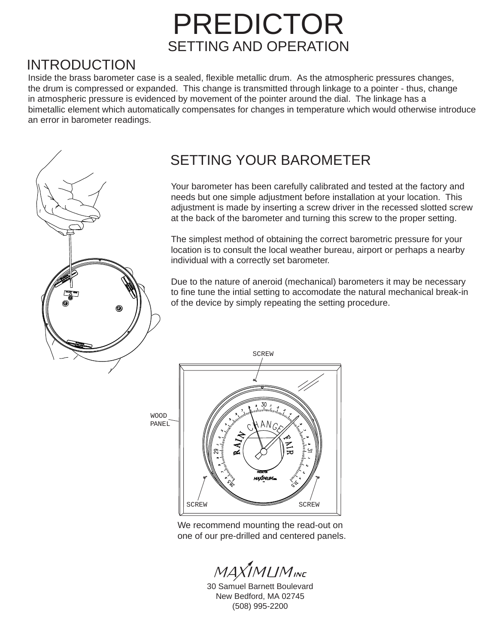## PREDICTOR SETTING AND OPERATION

### INTRODUCTION

Inside the brass barometer case is a sealed, flexible metallic drum. As the atmospheric pressures changes, the drum is compressed or expanded. This change is transmitted through linkage to a pointer - thus, change in atmospheric pressure is evidenced by movement of the pointer around the dial. The linkage has a bimetallic element which automatically compensates for changes in temperature which would otherwise introduce an error in barometer readings.



## SETTING YOUR BAROMETER

Your barometer has been carefully calibrated and tested at the factory and needs but one simple adjustment before installation at your location. This adjustment is made by inserting a screw driver in the recessed slotted screw at the back of the barometer and turning this screw to the proper setting.

The simplest method of obtaining the correct barometric pressure for your location is to consult the local weather bureau, airport or perhaps a nearby individual with a correctly set barometer.

Due to the nature of aneroid (mechanical) barometers it may be necessary to fine tune the intial setting to accomodate the natural mechanical break-in of the device by simply repeating the setting procedure.

WOOD PANEL



SCREW

We recommend mounting the read-out on one of our pre-drilled and centered panels.

 $MAXIMLIM_{INC}$ 

30 Samuel Barnett Boulevard New Bedford, MA 02745 (508) 995-2200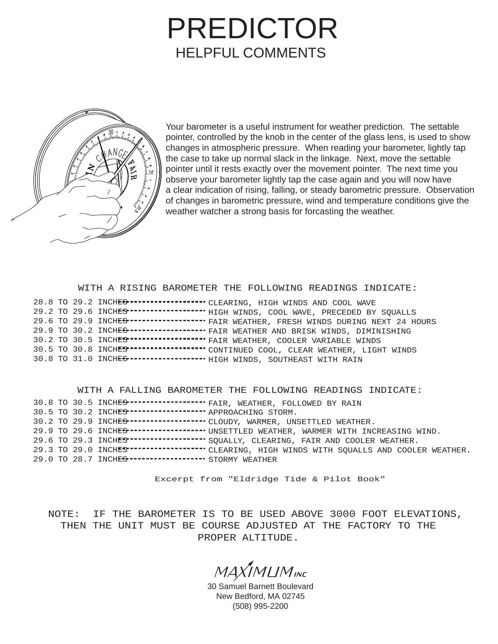# PREDICTOR HELPFUL COMMENTS



Your barometer is a useful instrument for weather prediction. The settable pointer, controlled by the knob in the center of the glass lens, is used to show changes in atmospheric pressure. When reading your barometer, lightly tap the case to take up normal slack in the linkage. Next, move the settable pointer until it rests exactly over the movement pointer. The next time you observe your barometer lightly tap the case again and you will now have a clear indication of rising, falling, or steady barometric pressure. Observation of changes in barometric pressure, wind and temperature conditions give the weather watcher a strong basis for forcasting the weather.

#### WITH A RISING BAROMETER THE FOLLOWING READINGS INDICATE:

|  |  | 28.8 TO 29.2 INCHES------------------ CLEARING, HIGH WINDS AND COOL WAVE                           |
|--|--|----------------------------------------------------------------------------------------------------|
|  |  | 29.2 TO 29.6 INCHES ----------------- HIGH WINDS, COOL WAVE, PRECEDED BY SQUALLS                   |
|  |  | 29.6 TO 29.9 INCHES----------------- FAIR WEATHER, FRESH WINDS DURING NEXT 24 HOURS                |
|  |  | 29.9 TO 30.2 INCHES------------------ FAIR WEATHER AND BRISK WINDS, DIMINISHING                    |
|  |  |                                                                                                    |
|  |  | 30.5 TO 30.8 INCHES" ********************************** CONTINUED COOL, CLEAR WEATHER, LIGHT WINDS |
|  |  | 30.8 TO 31.0 INCHES------------------- HIGH WINDS, SOUTHEAST WITH RAIN                             |

#### WITH A FALLING BAROMETER THE FOLLOWING READINGS INDICATE:

|  |                                                           | 30.8 TO 30.5 INCHES ------------------ FAIR, WEATHER, FOLLOWED BY RAIN                           |
|--|-----------------------------------------------------------|--------------------------------------------------------------------------------------------------|
|  | 30.5 TO 30.2 INCHES------------------- APPROACHING STORM. |                                                                                                  |
|  |                                                           | 30.2 TO 29.9 INCHES ------------------ CLOUDY, WARMER, UNSETTLED WEATHER.                        |
|  |                                                           | 29.9 TO 29.6 INCHES------------------ UNSETTLED WEATHER, WARMER WITH INCREASING WIND.            |
|  |                                                           | 29.6 TO 29.3 INCHES" ------------------ SQUALLY, CLEARING, FAIR AND COOLER WEATHER.              |
|  |                                                           | 29.3 TO 29.0 INCHES" ********************* CLEARING, HIGH WINDS WITH SQUALLS AND COOLER WEATHER. |
|  | 29.0 TO 28.7 INCHES ------------------- STORMY WEATHER    |                                                                                                  |

Excerpt from "Eldridge Tide & Pilot Book"

NOTE: IF THE BAROMETER IS TO BE USED ABOVE 3000 FOOT ELEVATIONS, THEN THE UNIT MUST BE COURSE ADJUSTED AT THE FACTORY TO THE PROPER ALTITUDE.

 $MAXIMUM_{INC}$ 

30 Samuel Barnett Boulevard New Bedford, MA 02745 (508) 995-2200